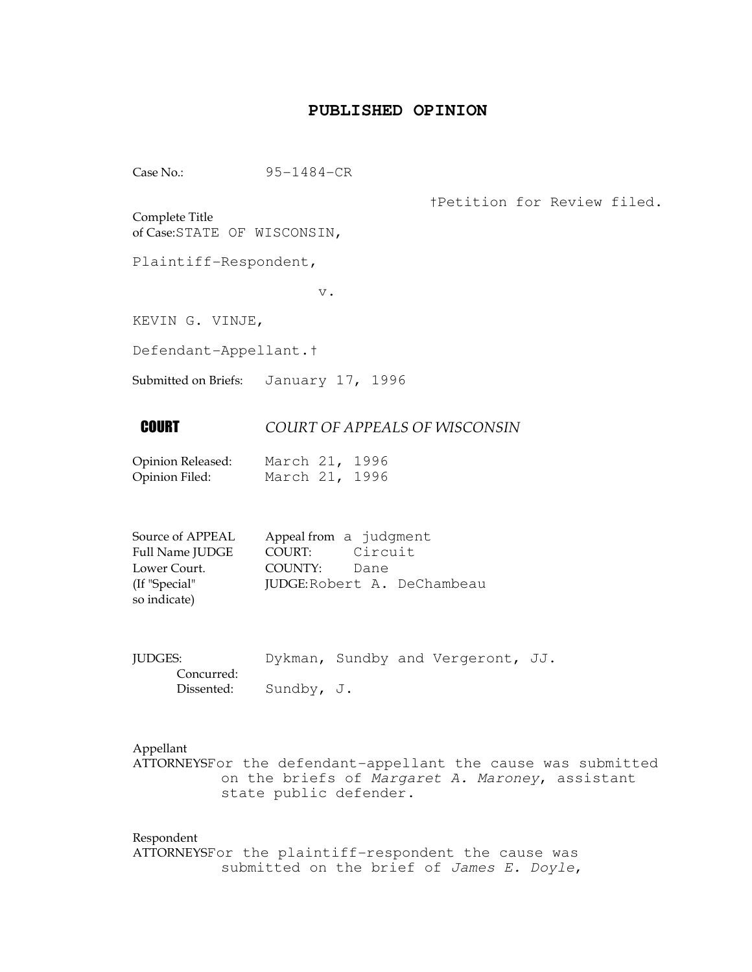## **PUBLISHED OPINION**

Case No.: 95-1484-CR

†Petition for Review filed.

Complete Title of Case:STATE OF WISCONSIN,

Plaintiff-Respondent,

v.

KEVIN G. VINJE,

Defendant-Appellant.†

Submitted on Briefs: January 17, 1996

## **COURT COURT OF APPEALS OF WISCONSIN**

| Opinion Released: | March 21, 1996 |  |
|-------------------|----------------|--|
| Opinion Filed:    | March 21, 1996 |  |

| Source of APPEAL | Appeal from a judgment |                             |
|------------------|------------------------|-----------------------------|
| Full Name JUDGE  | COURT:                 | Circuit                     |
| Lower Court.     | COUNTY: Dane           |                             |
| (If "Special"    |                        | JUDGE: Robert A. DeChambeau |
| so indicate)     |                        |                             |

| <b>JUDGES:</b>          |  | Dykman, Sundby and Vergeront, JJ. |  |
|-------------------------|--|-----------------------------------|--|
| Concurred:              |  |                                   |  |
| Dissented: $Sundby, J.$ |  |                                   |  |

## Appellant

ATTORNEYSFor the defendant-appellant the cause was submitted on the briefs of Margaret A. Maroney, assistant state public defender.

Respondent ATTORNEYSFor the plaintiff-respondent the cause was submitted on the brief of James E. Doyle,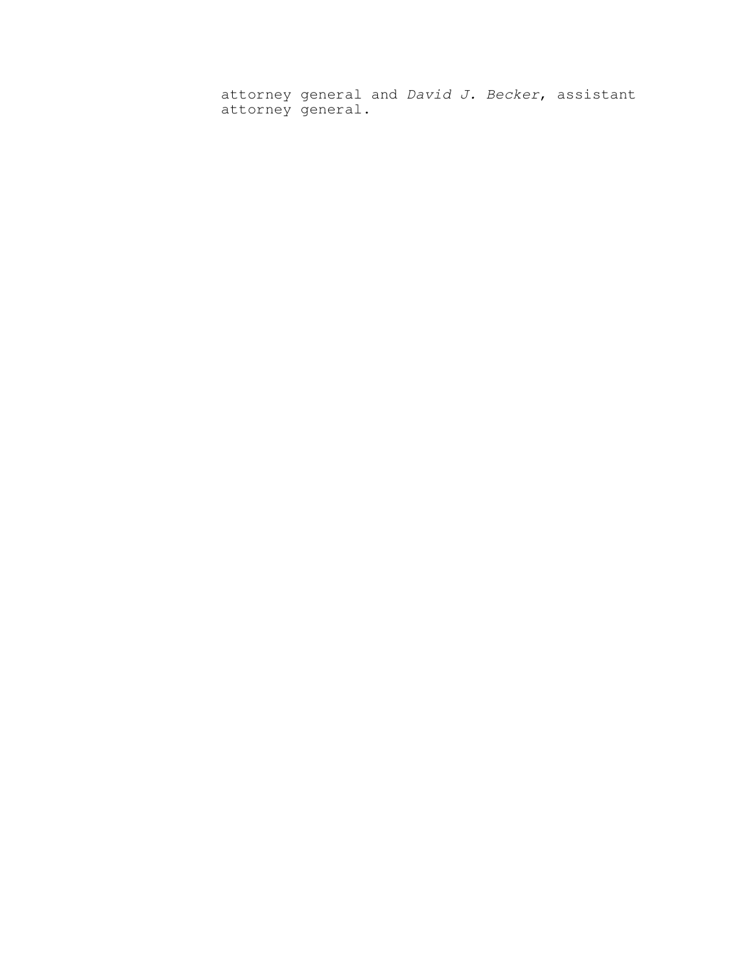attorney general and David J. Becker, assistant attorney general.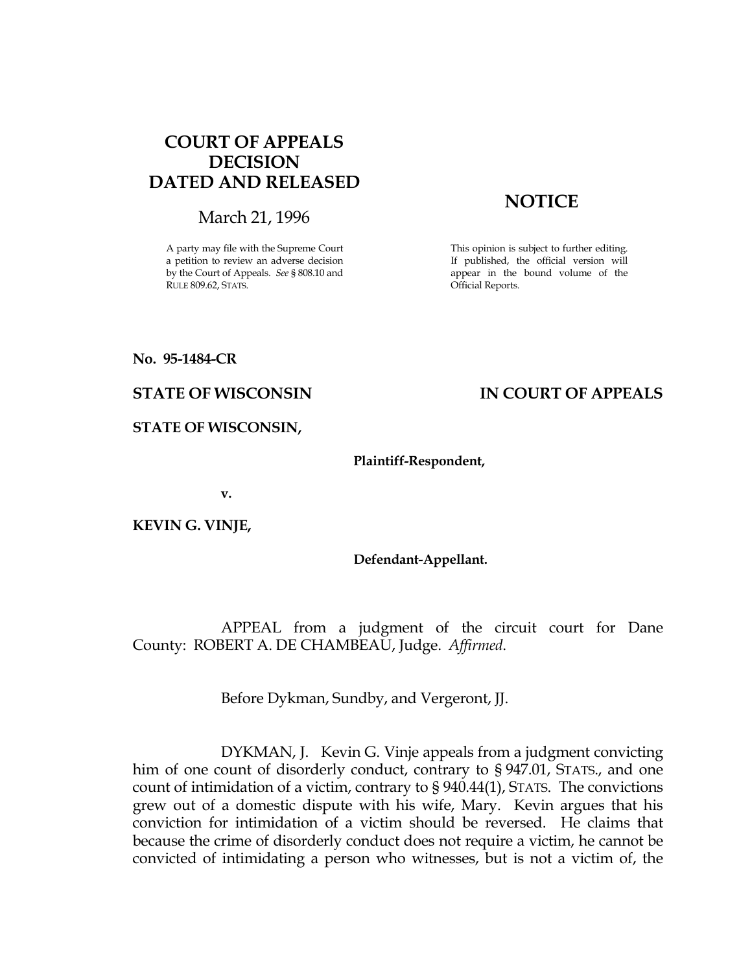# COURT OF APPEALS DECISION DATED AND RELEASED

March 21, 1996

A party may file with the Supreme Court a petition to review an adverse decision by the Court of Appeals. See § 808.10 and RULE 809.62, STATS.

# **NOTICE**

This opinion is subject to further editing. If published, the official version will appear in the bound volume of the Official Reports.

No. 95-1484-CR

## STATE OF WISCONSIN IN COURT OF APPEALS

STATE OF WISCONSIN,

#### Plaintiff-Respondent,

v.

KEVIN G. VINJE,

### Defendant-Appellant.

 APPEAL from a judgment of the circuit court for Dane County: ROBERT A. DE CHAMBEAU, Judge. Affirmed.

Before Dykman, Sundby, and Vergeront, JJ.

 DYKMAN, J. Kevin G. Vinje appeals from a judgment convicting him of one count of disorderly conduct, contrary to § 947.01, STATS., and one count of intimidation of a victim, contrary to § 940.44(1), STATS. The convictions grew out of a domestic dispute with his wife, Mary. Kevin argues that his conviction for intimidation of a victim should be reversed. He claims that because the crime of disorderly conduct does not require a victim, he cannot be convicted of intimidating a person who witnesses, but is not a victim of, the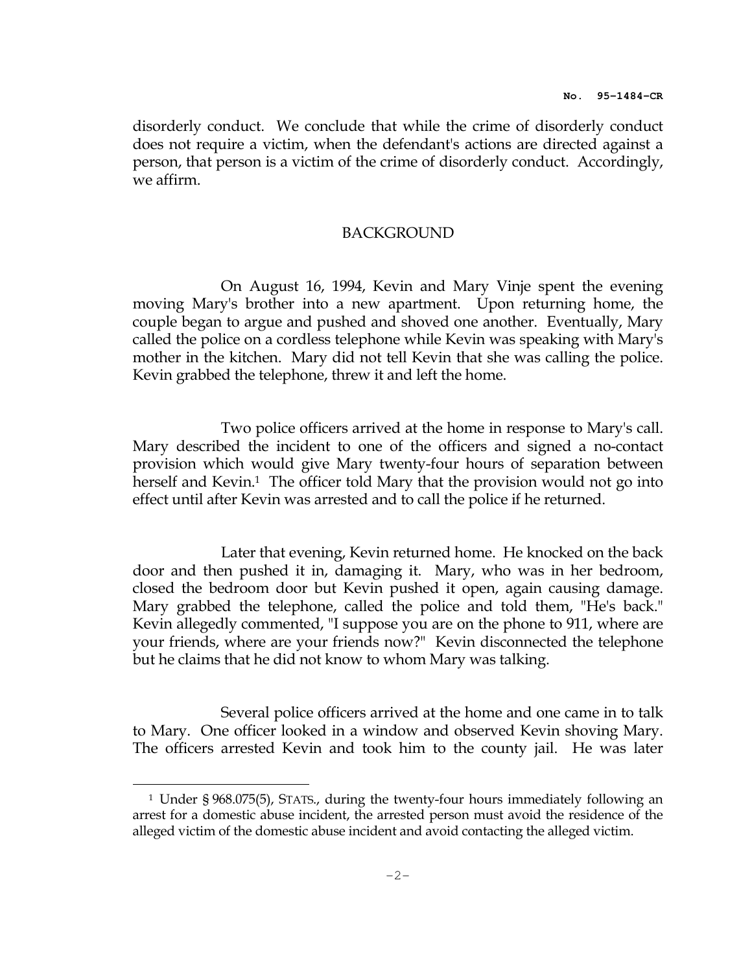disorderly conduct. We conclude that while the crime of disorderly conduct does not require a victim, when the defendant's actions are directed against a person, that person is a victim of the crime of disorderly conduct. Accordingly, we affirm.

## BACKGROUND

 On August 16, 1994, Kevin and Mary Vinje spent the evening moving Mary's brother into a new apartment. Upon returning home, the couple began to argue and pushed and shoved one another. Eventually, Mary called the police on a cordless telephone while Kevin was speaking with Mary's mother in the kitchen. Mary did not tell Kevin that she was calling the police. Kevin grabbed the telephone, threw it and left the home.

 Two police officers arrived at the home in response to Mary's call. Mary described the incident to one of the officers and signed a no-contact provision which would give Mary twenty-four hours of separation between herself and Kevin.<sup>1</sup> The officer told Mary that the provision would not go into effect until after Kevin was arrested and to call the police if he returned.

Later that evening, Kevin returned home. He knocked on the back door and then pushed it in, damaging it. Mary, who was in her bedroom, closed the bedroom door but Kevin pushed it open, again causing damage. Mary grabbed the telephone, called the police and told them, "He's back." Kevin allegedly commented, "I suppose you are on the phone to 911, where are your friends, where are your friends now?" Kevin disconnected the telephone but he claims that he did not know to whom Mary was talking.

 Several police officers arrived at the home and one came in to talk to Mary. One officer looked in a window and observed Kevin shoving Mary. The officers arrested Kevin and took him to the county jail. He was later

i<br>H

<sup>1</sup> Under § 968.075(5), STATS., during the twenty-four hours immediately following an arrest for a domestic abuse incident, the arrested person must avoid the residence of the alleged victim of the domestic abuse incident and avoid contacting the alleged victim.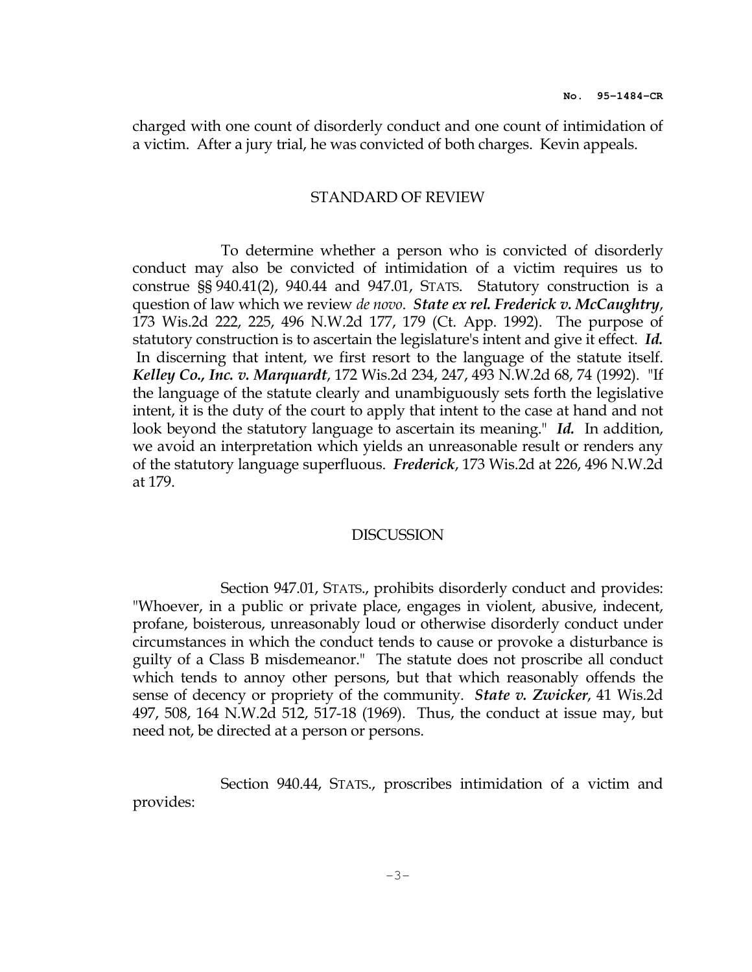charged with one count of disorderly conduct and one count of intimidation of a victim. After a jury trial, he was convicted of both charges. Kevin appeals.

#### STANDARD OF REVIEW

 To determine whether a person who is convicted of disorderly conduct may also be convicted of intimidation of a victim requires us to construe §§ 940.41(2), 940.44 and 947.01, STATS. Statutory construction is a question of law which we review de novo. State ex rel. Frederick v. McCaughtry, 173 Wis.2d 222, 225, 496 N.W.2d 177, 179 (Ct. App. 1992). The purpose of statutory construction is to ascertain the legislature's intent and give it effect. Id. In discerning that intent, we first resort to the language of the statute itself. Kelley Co., Inc. v. Marquardt, 172 Wis.2d 234, 247, 493 N.W.2d 68, 74 (1992). "If the language of the statute clearly and unambiguously sets forth the legislative intent, it is the duty of the court to apply that intent to the case at hand and not look beyond the statutory language to ascertain its meaning." Id. In addition, we avoid an interpretation which yields an unreasonable result or renders any of the statutory language superfluous. Frederick, 173 Wis.2d at 226, 496 N.W.2d at 179.

#### **DISCUSSION**

 Section 947.01, STATS., prohibits disorderly conduct and provides: "Whoever, in a public or private place, engages in violent, abusive, indecent, profane, boisterous, unreasonably loud or otherwise disorderly conduct under circumstances in which the conduct tends to cause or provoke a disturbance is guilty of a Class B misdemeanor." The statute does not proscribe all conduct which tends to annoy other persons, but that which reasonably offends the sense of decency or propriety of the community. *State v. Zwicker*, 41 Wis.2d 497, 508, 164 N.W.2d 512, 517-18 (1969). Thus, the conduct at issue may, but need not, be directed at a person or persons.

 Section 940.44, STATS., proscribes intimidation of a victim and provides: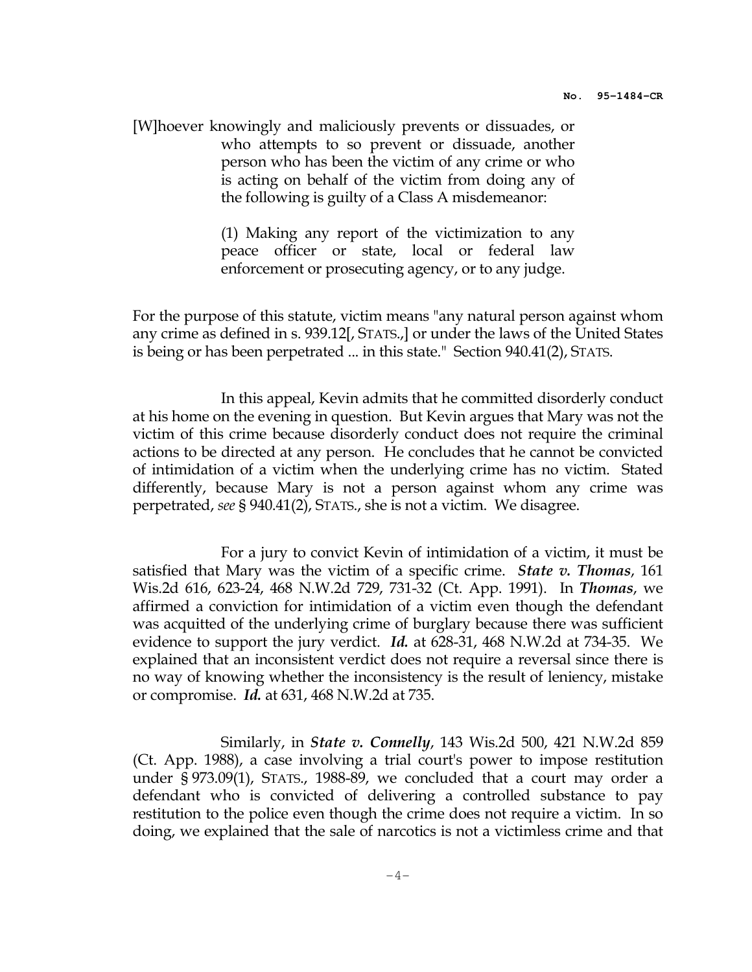[W]hoever knowingly and maliciously prevents or dissuades, or who attempts to so prevent or dissuade, another person who has been the victim of any crime or who is acting on behalf of the victim from doing any of the following is guilty of a Class A misdemeanor:

> (1) Making any report of the victimization to any peace officer or state, local or federal law enforcement or prosecuting agency, or to any judge.

For the purpose of this statute, victim means "any natural person against whom any crime as defined in s. 939.12[, STATS.,] or under the laws of the United States is being or has been perpetrated ... in this state." Section 940.41(2), STATS.

 In this appeal, Kevin admits that he committed disorderly conduct at his home on the evening in question. But Kevin argues that Mary was not the victim of this crime because disorderly conduct does not require the criminal actions to be directed at any person. He concludes that he cannot be convicted of intimidation of a victim when the underlying crime has no victim. Stated differently, because Mary is not a person against whom any crime was perpetrated, see § 940.41(2), STATS., she is not a victim. We disagree.

 For a jury to convict Kevin of intimidation of a victim, it must be satisfied that Mary was the victim of a specific crime. *State v. Thomas*,  $161$ Wis.2d 616, 623-24, 468 N.W.2d 729, 731-32 (Ct. App. 1991). In Thomas, we affirmed a conviction for intimidation of a victim even though the defendant was acquitted of the underlying crime of burglary because there was sufficient evidence to support the jury verdict. Id. at 628-31, 468 N.W.2d at 734-35. We explained that an inconsistent verdict does not require a reversal since there is no way of knowing whether the inconsistency is the result of leniency, mistake or compromise. Id. at 631, 468 N.W.2d at 735.

 Similarly, in State v. Connelly, 143 Wis.2d 500, 421 N.W.2d 859 (Ct. App. 1988), a case involving a trial court's power to impose restitution under § 973.09(1), STATS., 1988-89, we concluded that a court may order a defendant who is convicted of delivering a controlled substance to pay restitution to the police even though the crime does not require a victim. In so doing, we explained that the sale of narcotics is not a victimless crime and that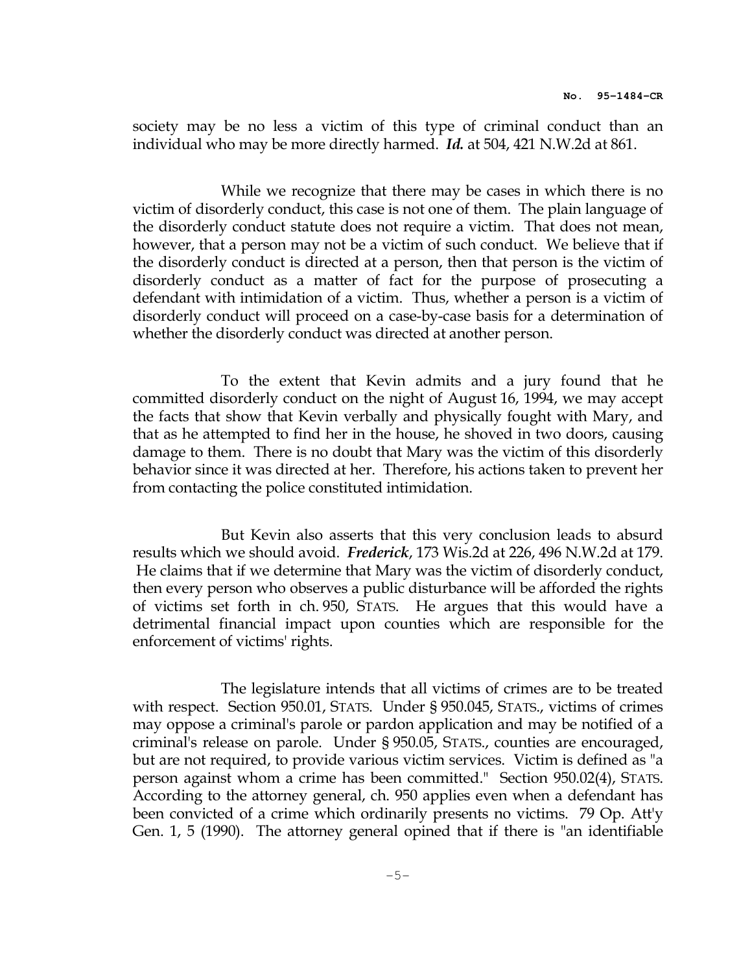society may be no less a victim of this type of criminal conduct than an individual who may be more directly harmed. Id. at 504, 421 N.W.2d at 861.

 While we recognize that there may be cases in which there is no victim of disorderly conduct, this case is not one of them. The plain language of the disorderly conduct statute does not require a victim. That does not mean, however, that a person may not be a victim of such conduct. We believe that if the disorderly conduct is directed at a person, then that person is the victim of disorderly conduct as a matter of fact for the purpose of prosecuting a defendant with intimidation of a victim. Thus, whether a person is a victim of disorderly conduct will proceed on a case-by-case basis for a determination of whether the disorderly conduct was directed at another person.

 To the extent that Kevin admits and a jury found that he committed disorderly conduct on the night of August 16, 1994, we may accept the facts that show that Kevin verbally and physically fought with Mary, and that as he attempted to find her in the house, he shoved in two doors, causing damage to them. There is no doubt that Mary was the victim of this disorderly behavior since it was directed at her. Therefore, his actions taken to prevent her from contacting the police constituted intimidation.

 But Kevin also asserts that this very conclusion leads to absurd results which we should avoid. Frederick, 173 Wis.2d at 226, 496 N.W.2d at 179. He claims that if we determine that Mary was the victim of disorderly conduct, then every person who observes a public disturbance will be afforded the rights of victims set forth in ch. 950, STATS. He argues that this would have a detrimental financial impact upon counties which are responsible for the enforcement of victims' rights.

 The legislature intends that all victims of crimes are to be treated with respect. Section 950.01, STATS. Under § 950.045, STATS., victims of crimes may oppose a criminal's parole or pardon application and may be notified of a criminal's release on parole. Under § 950.05, STATS., counties are encouraged, but are not required, to provide various victim services. Victim is defined as "a person against whom a crime has been committed." Section 950.02(4), STATS. According to the attorney general, ch. 950 applies even when a defendant has been convicted of a crime which ordinarily presents no victims. 79 Op. Att'y Gen. 1, 5 (1990). The attorney general opined that if there is "an identifiable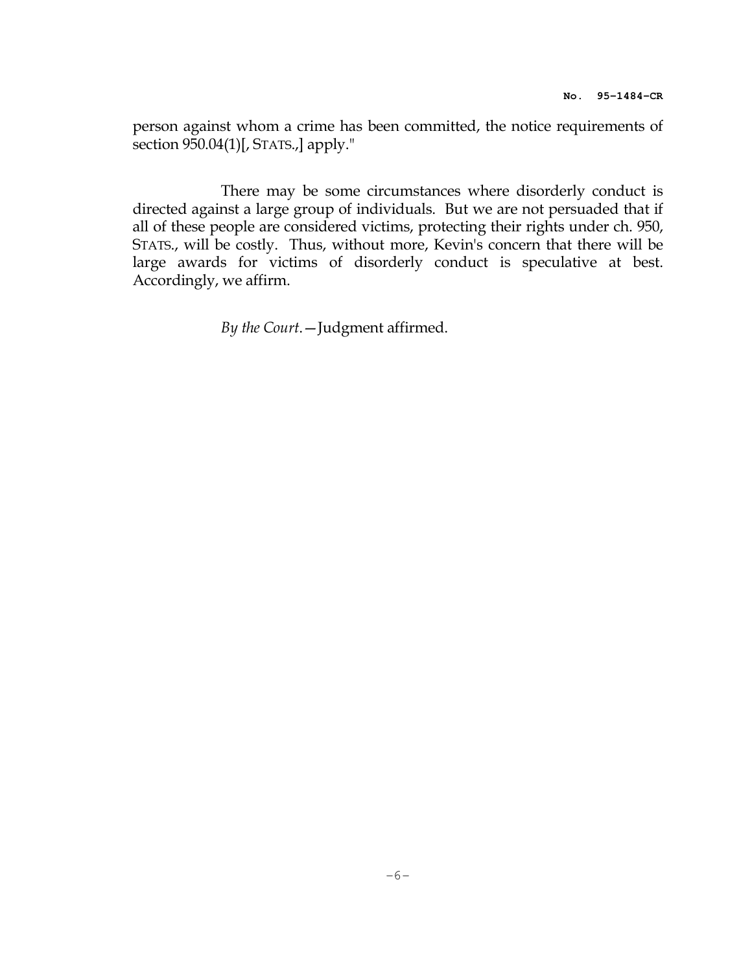person against whom a crime has been committed, the notice requirements of section 950.04(1)[, STATS.,] apply."

 There may be some circumstances where disorderly conduct is directed against a large group of individuals. But we are not persuaded that if all of these people are considered victims, protecting their rights under ch. 950, STATS., will be costly. Thus, without more, Kevin's concern that there will be large awards for victims of disorderly conduct is speculative at best. Accordingly, we affirm.

By the Court.—Judgment affirmed.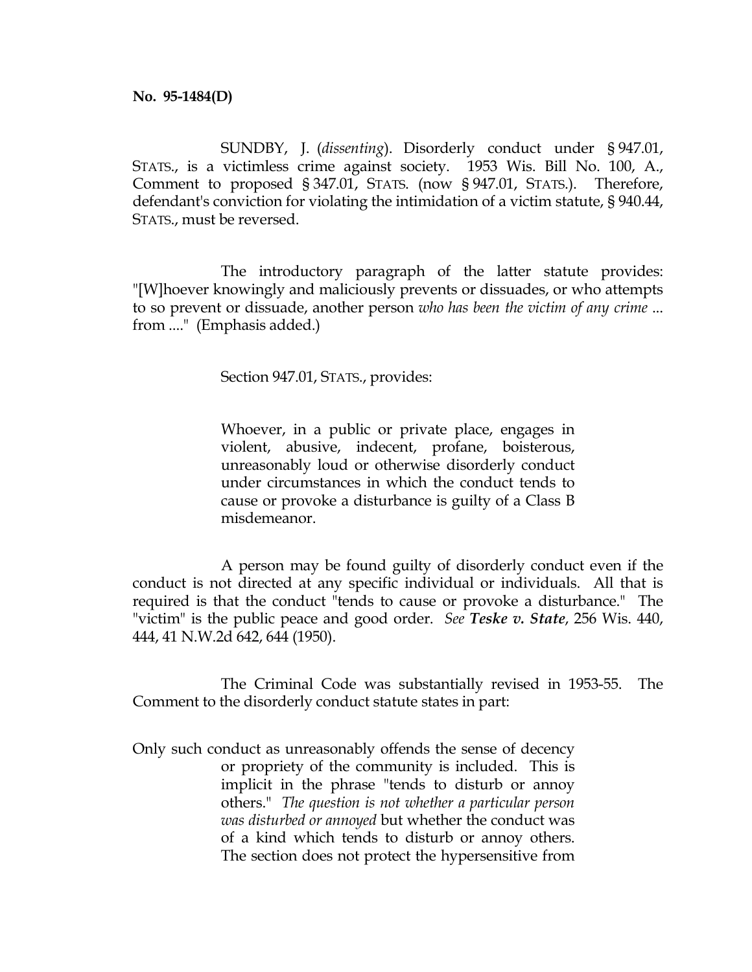SUNDBY, J. (dissenting). Disorderly conduct under § 947.01, STATS., is a victimless crime against society. 1953 Wis. Bill No. 100, A., Comment to proposed § 347.01, STATS. (now § 947.01, STATS.). Therefore, defendant's conviction for violating the intimidation of a victim statute, § 940.44, STATS., must be reversed.

The introductory paragraph of the latter statute provides: "[W]hoever knowingly and maliciously prevents or dissuades, or who attempts to so prevent or dissuade, another person who has been the victim of any crime ... from ...." (Emphasis added.)

Section 947.01, STATS., provides:

 Whoever, in a public or private place, engages in violent, abusive, indecent, profane, boisterous, unreasonably loud or otherwise disorderly conduct under circumstances in which the conduct tends to cause or provoke a disturbance is guilty of a Class B misdemeanor.

 A person may be found guilty of disorderly conduct even if the conduct is not directed at any specific individual or individuals. All that is required is that the conduct "tends to cause or provoke a disturbance." The "victim" is the public peace and good order. See Teske  $v$ . State, 256 Wis. 440, 444, 41 N.W.2d 642, 644 (1950).

 The Criminal Code was substantially revised in 1953-55. The Comment to the disorderly conduct statute states in part:

Only such conduct as unreasonably offends the sense of decency or propriety of the community is included. This is implicit in the phrase "tends to disturb or annoy others." The question is not whether a particular person was disturbed or annoyed but whether the conduct was of a kind which tends to disturb or annoy others. The section does not protect the hypersensitive from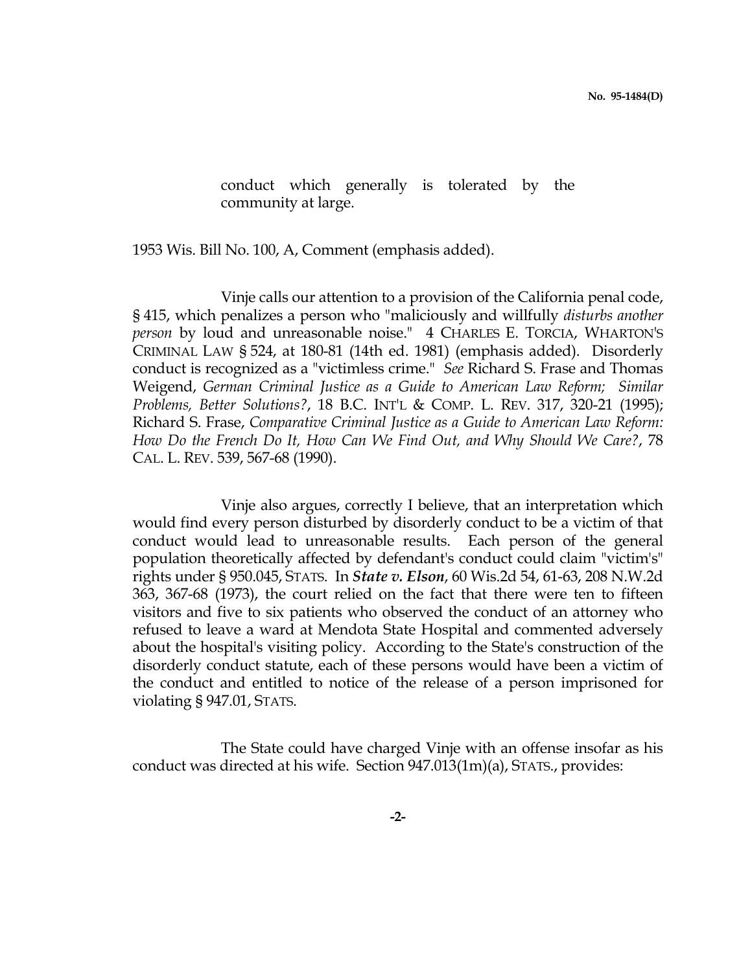conduct which generally is tolerated by the community at large.

1953 Wis. Bill No. 100, A, Comment (emphasis added).

 Vinje calls our attention to a provision of the California penal code, § 415, which penalizes a person who "maliciously and willfully disturbs another person by loud and unreasonable noise." 4 CHARLES E. TORCIA, WHARTON'S CRIMINAL LAW § 524, at 180-81 (14th ed. 1981) (emphasis added). Disorderly conduct is recognized as a "victimless crime." See Richard S. Frase and Thomas Weigend, German Criminal Justice as a Guide to American Law Reform; Similar Problems, Better Solutions?, 18 B.C. INT'L & COMP. L. REV. 317, 320-21 (1995); Richard S. Frase, Comparative Criminal Justice as a Guide to American Law Reform: How Do the French Do It, How Can We Find Out, and Why Should We Care?, 78 CAL. L. REV. 539, 567-68 (1990).

 Vinje also argues, correctly I believe, that an interpretation which would find every person disturbed by disorderly conduct to be a victim of that conduct would lead to unreasonable results. Each person of the general population theoretically affected by defendant's conduct could claim "victim's" rights under § 950.045, STATS. In State v. Elson, 60 Wis.2d 54, 61-63, 208 N.W.2d 363, 367-68 (1973), the court relied on the fact that there were ten to fifteen visitors and five to six patients who observed the conduct of an attorney who refused to leave a ward at Mendota State Hospital and commented adversely about the hospital's visiting policy. According to the State's construction of the disorderly conduct statute, each of these persons would have been a victim of the conduct and entitled to notice of the release of a person imprisoned for violating § 947.01, STATS.

 The State could have charged Vinje with an offense insofar as his conduct was directed at his wife. Section 947.013(1m)(a), STATS., provides: